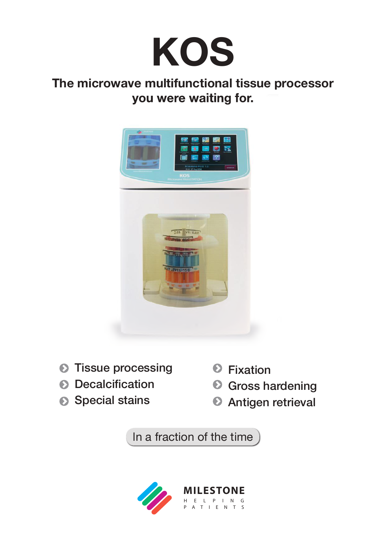

### **The microwave multifunctional tissue processor you were waiting for.**



- **O** Tissue processing
- **O** Decalcification
- Special stains
- **O** Fixation
- **O** Gross hardening
- **Antigen retrieval**

In a fraction of the time

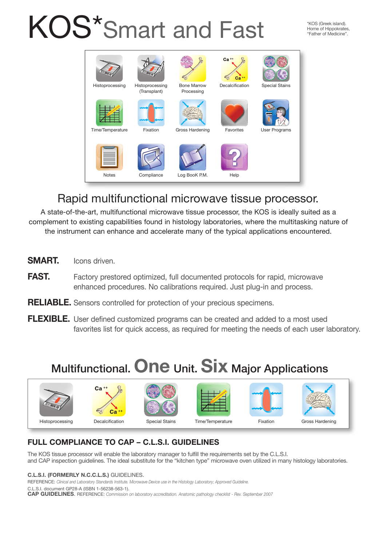# KOS\*Smart and Fast

\*KOS (Greek island). Home of Hippokrates, "Father of Medicine".



### Rapid multifunctional microwave tissue processor.

A state-of-the-art, multifunctional microwave tissue processor, the KOS is ideally suited as a complement to existing capabilities found in histology laboratories, where the multitasking nature of the instrument can enhance and accelerate many of the typical applications encountered.

- **SMART.** Icons driven.
- **FAST.** Factory prestored optimized, full documented protocols for rapid, microwave enhanced procedures. No calibrations required. Just plug-in and process.
- **RELIABLE.** Sensors controlled for protection of your precious specimens.
- **FLEXIBLE.** User defined customized programs can be created and added to a most used favorites list for quick access, as required for meeting the needs of each user laboratory.

# Multifunctional. **One** Unit. **Six** Major Applications













Histoprocessing Decalcification Special Stains Time/Temperature Fixation Gross Hardening







### **FULL COMPLIANCE TO CAP – C.L.S.I. GUIDELINES**

The KOS tissue processor will enable the laboratory manager to fulfill the requirements set by the C.L.S.I. and CAP inspection guidelines. The ideal substitute for the "kitchen type" microwave oven utilized in many histology laboratories.

#### **C.L.S.I. (FORMERLY N.C.C.L.S.)** GUIDELINES.

REFERENCE: *Clinical and Laboratory Standards Institute. Microwave Device use in the Histology Laboratory; Approved Guideline.*

C.L.S.I. document GP28-A (ISBN 1-56238-563-1).

**CAP GUIDELINES**. REFERENCE: *Commission on laboratory accreditation. Anatomic pathology checklist - Rev. September 2007*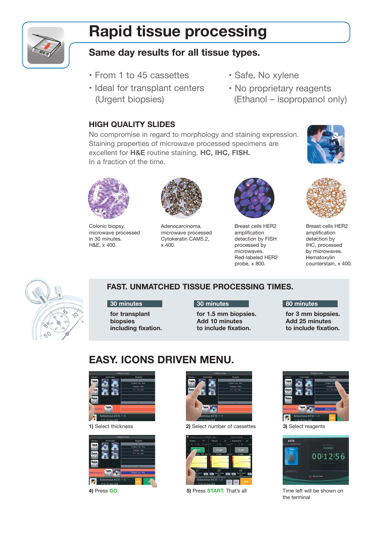# **Rapid tissue processing**

#### **Same day results for all tissue types.**

- From 1 to 45 cassettes
- Ideal for transplant centers (Urgent biopsies)
- Safe. No xylene
- No proprietary reagents (Ethanol – isopropanol only)

#### **HIGH QUALITY SLIDES**

No compromise in regard to morphology and staining expression. Staining properties of microwave processed specimens are excellent for **H&E** routine staining, **HC, IHC, FISH.** In a fraction of the time.





Colonic biopsy, microwave processed in 30 minutes. H&E, x 400.



Adenocarcinoma, microwave processed Cytokeratin CAM5.2, x 400.



Breast cells HER2 amplification detection by FISH processed by microwaves. Red-labeled HER2 probe, x 800.



Breast cells HER2 amplification detection by IHC, processed by microwaves. Hematoxylin counterstain, x 400.



#### **FAST. UNMATCHED TISSUE PROCESSING TIMES.**

**30 minutes**

**for transplant biopsies including fixation.**

#### **30 minutes**

**for 1.5 mm biopsies. Add 10 minutes to include fixation.**

#### **80 minutes**

**for 3 mm biopsies. Add 25 minutes to include fixation.**

### **EASY. ICONS DRIVEN MENU.**







**1)** Select thickness **2)** Select number of cassettes **3)** Select reagents







**4)** Press **GO**. **5)** Press **START.** That's all Time left will be shown on the terminal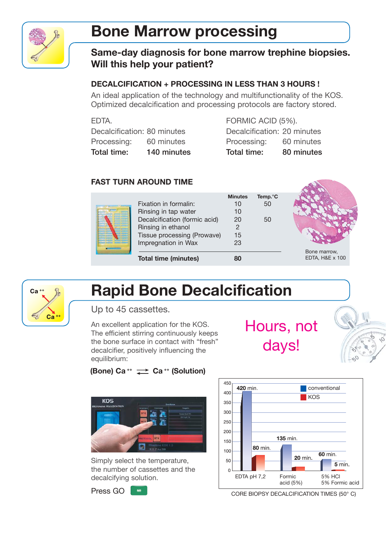

# **Bone Marrow processing**

#### **Same-day diagnosis for bone marrow trephine biopsies. Will this help your patient?**

#### **DECALCIFICATION + PROCESSING IN LESS THAN 3 HOURS !**

An ideal application of the technology and multifunctionality of the KOS. Optimized decalcification and processing protocols are factory stored.

|--|

Decalcification: 80 minutes Processing: 60 minutes Total time: 140 minutes

FORMIC ACID (5%). Decalcification: 20 minutes Processing: 60 minutes Total time: 80 minutes

#### **FAST TURN AROUND TIME**

| Fixation in formalin:<br>Rinsing in tap water<br>Decalcification (formic acid)<br>Rinsing in ethanol<br>Tissue processing (Prowave)<br>Impregnation in Wax | <b>Minutes</b><br>10<br>10<br>20<br>15<br>23 | Temp. <sup>°</sup> C<br>50<br>50 |                                 |
|------------------------------------------------------------------------------------------------------------------------------------------------------------|----------------------------------------------|----------------------------------|---------------------------------|
| <b>Total time (minutes)</b>                                                                                                                                | 80                                           |                                  | Bone marrow,<br>EDTA, H&E x 100 |



# **Rapid Bone Decalcification**

Up to 45 cassettes.

An excellent application for the KOS. The efficient stirring continuously keeps the bone surface in contact with "fresh" decalcifier, positively influencing the equilibrium:



## **(Bone) Ca ++ Ca ++ (Solution)**



Simply select the temperature, the number of cassettes and the decalcifying solution.

Press GO  $\frac{1}{2}$ 



CORE BIOPSY DECALCIFICATION TIMES (50° C)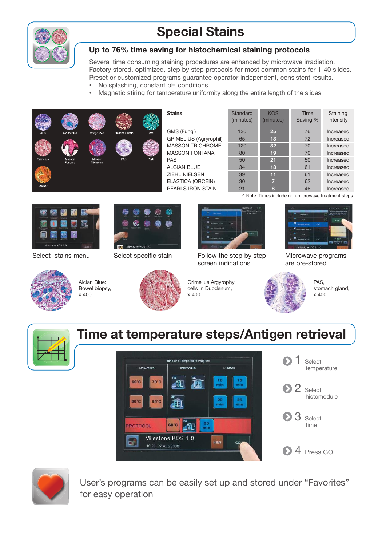

### **Special Stains**

#### **Up to 76% time saving for histochemical staining protocols**

Several time consuming staining procedures are enhanced by microwave irradiation. Factory stored, optimized, step by step protocols for most common stains for 1-40 slides. Preset or customized programs guarantee operator independent, consistent results.

- No splashing, constant pH conditions
- Magnetic stiring for temperature uniformity along the entire length of the slides



| <b>Stains</b>                 | Standard<br>(minutes) | <b>KOS</b><br>(minutes) | Time<br>Saving % | Staining<br>intensity |
|-------------------------------|-----------------------|-------------------------|------------------|-----------------------|
| GMS (Fungi)                   | 130                   | 25                      | 76               | Increased             |
| <b>GRIMELIUS (Agryrophil)</b> | 65                    | 13                      | 72               | Increased             |
| <b>MASSON TRICHROME</b>       | 120                   | 32                      | 70               | Increased             |
| <b>MASSON FONTANA</b>         | 80                    | 19                      | 70               | Increased             |
| <b>PAS</b>                    | 50                    | 21                      | 50               | Increased             |
| ALCIAN BLUE                   | 34                    | 13                      | 61               | Increased             |
| ZIEHL NIELSEN                 | 39                    | 11                      | 61               | Increased             |
| <b>ELASTICA (ORCEIN)</b>      | 30                    | 7                       | 62               | Increased             |
| PEARLS IRON STAIN             | 21                    | 8                       | 46               | Increased             |

^ Note: Times include non-microwave treatment steps





Alcian Blue: Bowel biopsy, x 400.





Select stains menu Select specific stain Follow the step by step screen indications



Microwave programs are pre-stored



PAS, stomach gland. x 400.



### **Time at temperature steps/Antigen retrieval**

Grimelius Argyrophyl cells in Duodenum,

x 400.





User's programs can be easily set up and stored under "Favorites" for easy operation